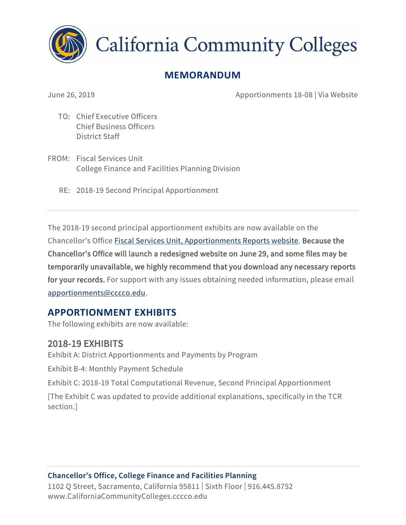

**California Community Colleges** 

# **MEMORANDUM**

June 26, 2019 Apportionments 18-08 | Via Website

- TO: Chief Executive Officers Chief Business Officers District Staff
- FROM: Fiscal Services Unit College Finance and Facilities Planning Division
	- RE: 2018-19 Second Principal Apportionment

The 2018-19 second principal apportionment exhibits are now available on the Chancellor's Office [Fiscal Services Unit, Apportionments Reports website.](http://extranet.cccco.edu/Divisions/FinanceFacilities/FiscalServicesUnit/Reports/ApportionmentReports/201819.aspx) Because the Chancellor's Office will launch a redesigned website on June 29, and some files may be temporarily unavailable, we highly recommend that you download any necessary reports for your records. For support with any issues obtaining needed information, please email [apportionments@cccco.edu.](mailto:apportionments@cccco.edu)

## **APPORTIONMENT EXHIBITS**

The following exhibits are now available:

## 2018-19 EXHIBITS

Exhibit A: District Apportionments and Payments by Program

Exhibit B-4: Monthly Payment Schedule

Exhibit C: 2018-19 Total Computational Revenue, Second Principal Apportionment

[The Exhibit C was updated to provide additional explanations, specifically in the TCR section.]

#### **Chancellor's Office, College Finance and Facilities Planning**

1102 Q Street, Sacramento, California 95811 | Sixth Floor | 916.445.8752 [www.CaliforniaCommunityColleges.cccco.edu](http://www.CaliforniaCommunityColleges.cccco.edu)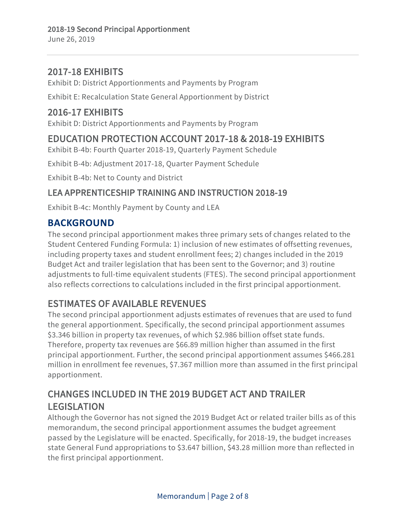#### 2017-18 EXHIBITS

Exhibit D: District Apportionments and Payments by Program

Exhibit E: Recalculation State General Apportionment by District

### 2016-17 EXHIBITS

Exhibit D: District Apportionments and Payments by Program

## EDUCATION PROTECTION ACCOUNT 2017-18 & 2018-19 EXHIBITS

Exhibit B-4b: Fourth Quarter 2018-19, Quarterly Payment Schedule

Exhibit B-4b: Adjustment 2017-18, Quarter Payment Schedule

Exhibit B-4b: Net to County and District

#### LEA APPRENTICESHIP TRAINING AND INSTRUCTION 2018-19

Exhibit B-4c: Monthly Payment by County and LEA

#### **BACKGROUND**

The second principal apportionment makes three primary sets of changes related to the Student Centered Funding Formula: 1) inclusion of new estimates of offsetting revenues, including property taxes and student enrollment fees; 2) changes included in the 2019 Budget Act and trailer legislation that has been sent to the Governor; and 3) routine adjustments to full-time equivalent students (FTES). The second principal apportionment also reflects corrections to calculations included in the first principal apportionment.

# ESTIMATES OF AVAILABLE REVENUES

The second principal apportionment adjusts estimates of revenues that are used to fund the general apportionment. Specifically, the second principal apportionment assumes \$3.346 billion in property tax revenues, of which \$2.986 billion offset state funds. Therefore, property tax revenues are \$66.89 million higher than assumed in the first principal apportionment. Further, the second principal apportionment assumes \$466.281 million in enrollment fee revenues, \$7.367 million more than assumed in the first principal apportionment.

# CHANGES INCLUDED IN THE 2019 BUDGET ACT AND TRAILER LEGISLATION

Although the Governor has not signed the 2019 Budget Act or related trailer bills as of this memorandum, the second principal apportionment assumes the budget agreement passed by the Legislature will be enacted. Specifically, for 2018-19, the budget increases state General Fund appropriations to \$3.647 billion, \$43.28 million more than reflected in the first principal apportionment.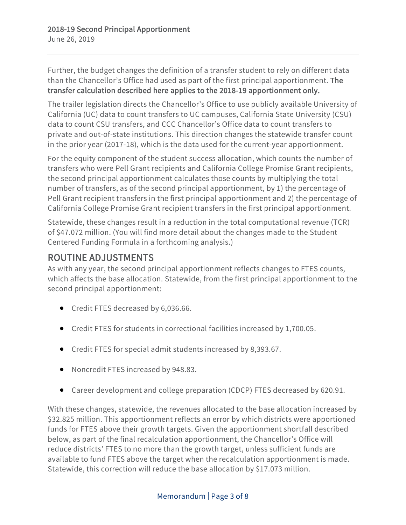#### Further, the budget changes the definition of a transfer student to rely on different data than the Chancellor's Office had used as part of the first principal apportionment. The transfer calculation described here applies to the 2018-19 apportionment only.

The trailer legislation directs the Chancellor's Office to use publicly available University of California (UC) data to count transfers to UC campuses, California State University (CSU) data to count CSU transfers, and CCC Chancellor's Office data to count transfers to private and out-of-state institutions. This direction changes the statewide transfer count in the prior year (2017-18), which is the data used for the current-year apportionment.

For the equity component of the student success allocation, which counts the number of transfers who were Pell Grant recipients and California College Promise Grant recipients, the second principal apportionment calculates those counts by multiplying the total number of transfers, as of the second principal apportionment, by 1) the percentage of Pell Grant recipient transfers in the first principal apportionment and 2) the percentage of California College Promise Grant recipient transfers in the first principal apportionment.

Statewide, these changes result in a reduction in the total computational revenue (TCR) of \$47.072 million. (You will find more detail about the changes made to the Student Centered Funding Formula in a forthcoming analysis.)

# ROUTINE ADJUSTMENTS

As with any year, the second principal apportionment reflects changes to FTES counts, which affects the base allocation. Statewide, from the first principal apportionment to the second principal apportionment:

- Credit FTES decreased by 6,036.66.
- Credit FTES for students in correctional facilities increased by 1,700.05.
- Credit FTES for special admit students increased by 8,393.67.
- Noncredit FTES increased by 948.83.
- Career development and college preparation (CDCP) FTES decreased by 620.91.

With these changes, statewide, the revenues allocated to the base allocation increased by \$32.825 million. This apportionment reflects an error by which districts were apportioned funds for FTES above their growth targets. Given the apportionment shortfall described below, as part of the final recalculation apportionment, the Chancellor's Office will reduce districts' FTES to no more than the growth target, unless sufficient funds are available to fund FTES above the target when the recalculation apportionment is made. Statewide, this correction will reduce the base allocation by \$17.073 million.

#### Memorandum | Page 3 of 8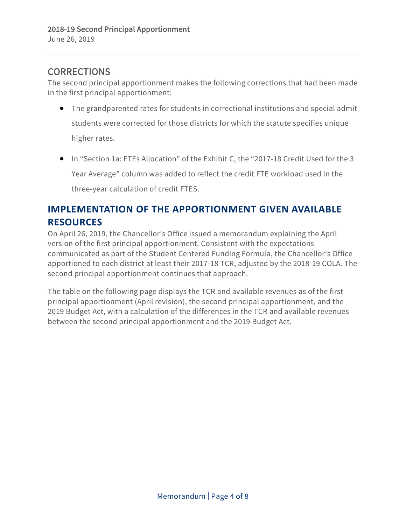### **CORRECTIONS**

The second principal apportionment makes the following corrections that had been made in the first principal apportionment:

- The grandparented rates for students in correctional institutions and special admit students were corrected for those districts for which the statute specifies unique higher rates.
- In "Section 1a: FTEs Allocation" of the Exhibit C, the "2017-18 Credit Used for the 3 Year Average" column was added to reflect the credit FTE workload used in the three-year calculation of credit FTES.

# **IMPLEMENTATION OF THE APPORTIONMENT GIVEN AVAILABLE RESOURCES**

On April 26, 2019, the Chancellor's Office issued a memorandum explaining the April version of the first principal apportionment. Consistent with the expectations communicated as part of the Student Centered Funding Formula, the Chancellor's Office apportioned to each district at least their 2017-18 TCR, adjusted by the 2018-19 COLA. The second principal apportionment continues that approach.

The table on the following page displays the TCR and available revenues as of the first principal apportionment (April revision), the second principal apportionment, and the 2019 Budget Act, with a calculation of the differences in the TCR and available revenues between the second principal apportionment and the 2019 Budget Act.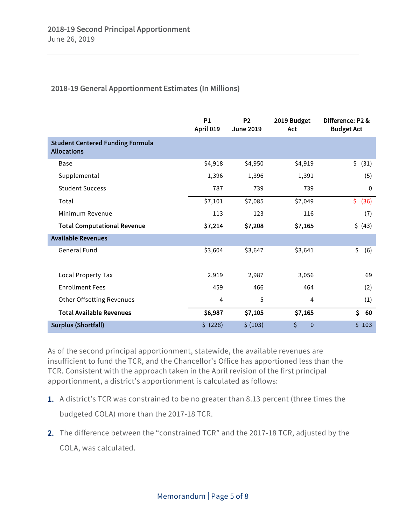#### 2018-19 General Apportionment Estimates (In Millions)

|                                                               | <b>P1</b><br>April 019 | <b>P2</b><br><b>June 2019</b> | 2019 Budget<br>Act   | Difference: P2 &<br><b>Budget Act</b> |
|---------------------------------------------------------------|------------------------|-------------------------------|----------------------|---------------------------------------|
| <b>Student Centered Funding Formula</b><br><b>Allocations</b> |                        |                               |                      |                                       |
| <b>Base</b>                                                   | \$4,918                | \$4,950                       | \$4,919              | \$<br>(31)                            |
| Supplemental                                                  | 1,396                  | 1,396                         | 1,391                | (5)                                   |
| <b>Student Success</b>                                        | 787                    | 739                           | 739                  | 0                                     |
| Total                                                         | \$7,101                | \$7,085                       | \$7,049              | \$<br>(36)                            |
| Minimum Revenue                                               | 113                    | 123                           | 116                  | (7)                                   |
| <b>Total Computational Revenue</b>                            | \$7,214                | \$7,208                       | \$7,165              | \$ (43)                               |
| <b>Available Revenues</b>                                     |                        |                               |                      |                                       |
| <b>General Fund</b>                                           | \$3,604                | \$3,647                       | \$3,641              | \$<br>(6)                             |
| Local Property Tax                                            | 2,919                  | 2,987                         | 3,056                | 69                                    |
| <b>Enrollment Fees</b>                                        | 459                    | 466                           | 464                  | (2)                                   |
| Other Offsetting Revenues                                     | 4                      | 5                             | 4                    | (1)                                   |
| <b>Total Available Revenues</b>                               | \$6,987                | \$7,105                       | \$7,165              | \$<br>60                              |
| <b>Surplus (Shortfall)</b>                                    | \$ (228)               | \$ (103)                      | \$<br>$\overline{0}$ | \$103                                 |

As of the second principal apportionment, statewide, the available revenues are insufficient to fund the TCR, and the Chancellor's Office has apportioned less than the TCR. Consistent with the approach taken in the April revision of the first principal apportionment, a district's apportionment is calculated as follows:

- 1. A district's TCR was constrained to be no greater than 8.13 percent (three times the budgeted COLA) more than the 2017-18 TCR.
- 2. The difference between the "constrained TCR" and the 2017-18 TCR, adjusted by the COLA, was calculated.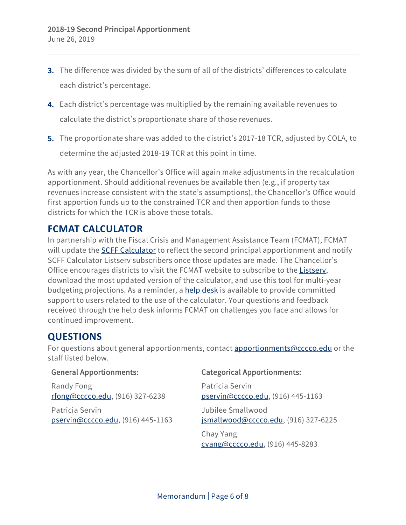- 3. The difference was divided by the sum of all of the districts' differences to calculate each district's percentage.
- 4. Each district's percentage was multiplied by the remaining available revenues to calculate the district's proportionate share of those revenues.
- 5. The proportionate share was added to the district's 2017-18 TCR, adjusted by COLA, to determine the adjusted 2018-19 TCR at this point in time.

As with any year, the Chancellor's Office will again make adjustments in the recalculation apportionment. Should additional revenues be available then (e.g., if property tax revenues increase consistent with the state's assumptions), the Chancellor's Office would first apportion funds up to the constrained TCR and then apportion funds to those districts for which the TCR is above those totals.

#### **FCMAT CALCULATOR**

In partnership with the Fiscal Crisis and Management Assistance Team (FCMAT), FCMAT will update the [SCFF Calculator](http://fcmat.org/student-centered-funding-formula/) to reflect the second principal apportionment and notify SCFF Calculator Listserv subscribers once those updates are made. The Chancellor's Office encourages districts to visit the FCMAT website to subscribe to the [Listserv,](http://lists.fcmat.org/scripts/wa.exe?SUBED1=SCFF-CALCULATOR&A=1) download the most updated version of the calculator, and use this tool for multi-year budgeting projections. As a reminder, a [help desk](https://helpdesk.fcmat.org/) is available to provide committed support to users related to the use of the calculator. Your questions and feedback received through the help desk informs FCMAT on challenges you face and allows for continued improvement.

#### **QUESTIONS**

For questions about general apportionments, contact **apportionments@cccco.edu** or the staff listed below.

#### General Apportionments:

Randy Fong [rfong@cccco.edu,](mailto:rfong@cccco.edu) (916) 327-6238

Patricia Servin [pservin@cccco.edu,](mailto:pservin@cccco.edu) (916) 445-1163

#### Categorical Apportionments:

Patricia Servin [pservin@cccco.edu,](mailto:pservin@cccco.edu) (916) 445-1163 Jubilee Smallwood [jsmallwood@cccco.edu,](mailto:jsmallwood@cccco.edu) (916) 327-6225 Chay Yang [cyang@cccco.edu,](mailto:cyang@cccco.edu) (916) 445-8283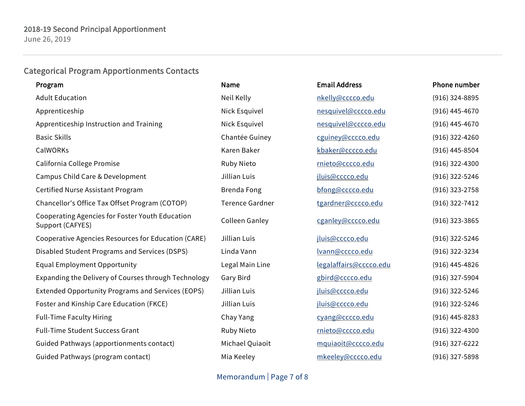# Categorical Program Apportionments Contacts

| Program                                                             | Name                   | <b>Email Address</b>   | Phone number     |
|---------------------------------------------------------------------|------------------------|------------------------|------------------|
| <b>Adult Education</b>                                              | Neil Kelly             | nkelly@cccco.edu       | $(916)$ 324-8895 |
| Apprenticeship                                                      | Nick Esquivel          | nesquivel@cccco.edu    | $(916)$ 445-4670 |
| Apprenticeship Instruction and Training                             | Nick Esquivel          | nesquivel@cccco.edu    | $(916)$ 445-4670 |
| <b>Basic Skills</b>                                                 | Chantée Guiney         | cguiney@cccco.edu      | $(916)$ 322-4260 |
| CalWORKs                                                            | Karen Baker            | kbaker@cccco.edu       | $(916)$ 445-8504 |
| California College Promise                                          | Ruby Nieto             | rnieto@cccco.edu       | $(916)$ 322-4300 |
| Campus Child Care & Development                                     | Jillian Luis           | jluis@cccco.edu        | $(916)$ 322-5246 |
| Certified Nurse Assistant Program                                   | <b>Brenda Fong</b>     | bfong@cccco.edu        | $(916)$ 323-2758 |
| Chancellor's Office Tax Offset Program (COTOP)                      | <b>Terence Gardner</b> | tgardner@cccco.edu     | $(916)$ 322-7412 |
| Cooperating Agencies for Foster Youth Education<br>Support (CAFYES) | Colleen Ganley         | cganley@cccco.edu      | $(916)$ 323-3865 |
| Cooperative Agencies Resources for Education (CARE)                 | Jillian Luis           | jluis@cccco.edu        | $(916)$ 322-5246 |
| Disabled Student Programs and Services (DSPS)                       | Linda Vann             | Ivann@cccco.edu        | $(916)$ 322-3234 |
| <b>Equal Employment Opportunity</b>                                 | Legal Main Line        | legalaffairs@cccco.edu | $(916)$ 445-4826 |
| Expanding the Delivery of Courses through Technology                | Gary Bird              | gbird@cccco.edu        | (916) 327-5904   |
| <b>Extended Opportunity Programs and Services (EOPS)</b>            | Jillian Luis           | jluis@cccco.edu        | $(916)$ 322-5246 |
| Foster and Kinship Care Education (FKCE)                            | Jillian Luis           | jluis@cccco.edu        | $(916)$ 322-5246 |
| <b>Full-Time Faculty Hiring</b>                                     | Chay Yang              | cyang@cccco.edu        | $(916)$ 445-8283 |
| <b>Full-Time Student Success Grant</b>                              | <b>Ruby Nieto</b>      | rnieto@cccco.edu       | $(916)$ 322-4300 |
| Guided Pathways (apportionments contact)                            | Michael Quiaoit        | mquiaoit@cccco.edu     | $(916)$ 327-6222 |
| Guided Pathways (program contact)                                   | Mia Keeley             | mkeeley@cccco.edu      | (916) 327-5898   |

Memorandum | Page 7 of 8